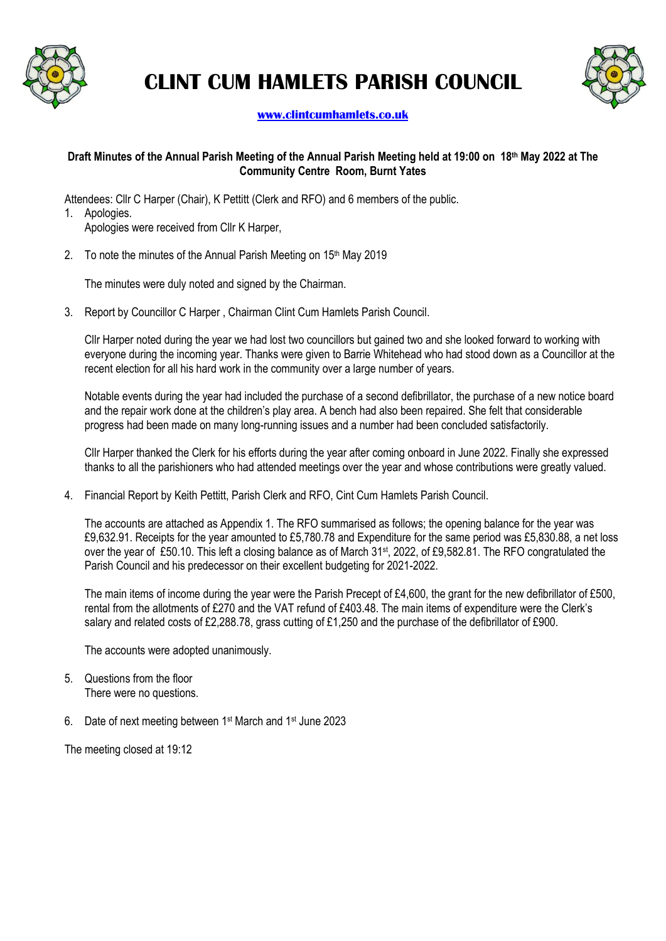

# **CLINT CUM HAMLETS PARISH COUNCIL**



#### **[www.clintcumhamlets.co.uk](http://www.clintcumhamlets.co.uk/)**

#### **Draft Minutes of the Annual Parish Meeting of the Annual Parish Meeting held at 19:00 on 18 th May 2022 at The Community Centre Room, Burnt Yates**

Attendees: Cllr C Harper (Chair), K Pettitt (Clerk and RFO) and 6 members of the public. 1. Apologies.

Apologies were received from Cllr K Harper,

2. To note the minutes of the Annual Parish Meeting on 15<sup>th</sup> May 2019

The minutes were duly noted and signed by the Chairman.

3. Report by Councillor C Harper , Chairman Clint Cum Hamlets Parish Council.

Cllr Harper noted during the year we had lost two councillors but gained two and she looked forward to working with everyone during the incoming year. Thanks were given to Barrie Whitehead who had stood down as a Councillor at the recent election for all his hard work in the community over a large number of years.

Notable events during the year had included the purchase of a second defibrillator, the purchase of a new notice board and the repair work done at the children's play area. A bench had also been repaired. She felt that considerable progress had been made on many long-running issues and a number had been concluded satisfactorily.

Cllr Harper thanked the Clerk for his efforts during the year after coming onboard in June 2022. Finally she expressed thanks to all the parishioners who had attended meetings over the year and whose contributions were greatly valued.

4. Financial Report by Keith Pettitt, Parish Clerk and RFO, Cint Cum Hamlets Parish Council.

The accounts are attached as Appendix 1. The RFO summarised as follows; the opening balance for the year was £9,632.91. Receipts for the year amounted to £5,780.78 and Expenditure for the same period was £5,830.88, a net loss over the year of £50.10. This left a closing balance as of March 31st, 2022, of £9,582.81. The RFO congratulated the Parish Council and his predecessor on their excellent budgeting for 2021-2022.

The main items of income during the year were the Parish Precept of £4,600, the grant for the new defibrillator of £500, rental from the allotments of £270 and the VAT refund of £403.48. The main items of expenditure were the Clerk's salary and related costs of £2,288.78, grass cutting of £1,250 and the purchase of the defibrillator of £900.

The accounts were adopted unanimously.

- 5. Questions from the floor There were no questions.
- 6. Date of next meeting between 1st March and 1st June 2023

The meeting closed at 19:12